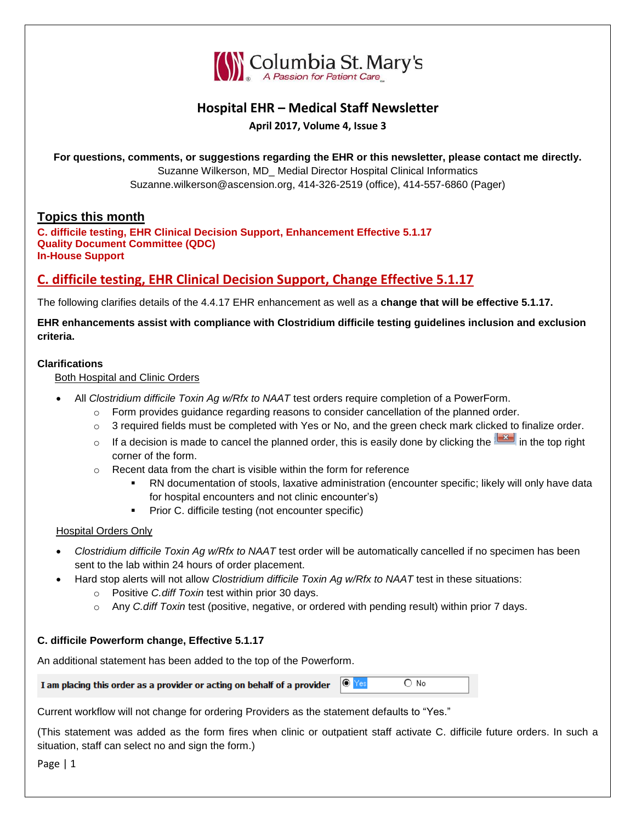

# **Hospital EHR – Medical Staff Newsletter**

**April 2017, Volume 4, Issue 3**

**For questions, comments, or suggestions regarding the EHR or this newsletter, please contact me directly.** Suzanne Wilkerson, MD\_ Medial Director Hospital Clinical Informatics Suzanne.wilkerson@ascension.org, 414-326-2519 (office), 414-557-6860 (Pager)

### **Topics this month**

**C. difficile testing, EHR Clinical Decision Support, Enhancement Effective 5.1.17 Quality Document Committee (QDC) In-House Support**

# **C. difficile testing, EHR Clinical Decision Support, Change Effective 5.1.17**

The following clarifies details of the 4.4.17 EHR enhancement as well as a **change that will be effective 5.1.17.**

**EHR enhancements assist with compliance with Clostridium difficile testing guidelines inclusion and exclusion criteria.**

#### **Clarifications**

Both Hospital and Clinic Orders

- All *Clostridium difficile Toxin Ag w/Rfx to NAAT* test orders require completion of a PowerForm.
	- $\circ$  Form provides guidance regarding reasons to consider cancellation of the planned order.
	- $\circ$  3 required fields must be completed with Yes or No, and the green check mark clicked to finalize order.
	- o If a decision is made to cancel the planned order, this is easily done by clicking the in the top right corner of the form.
	- o Recent data from the chart is visible within the form for reference
		- RN documentation of stools, laxative administration (encounter specific; likely will only have data for hospital encounters and not clinic encounter's)
		- **Prior C. difficile testing (not encounter specific)**

### Hospital Orders Only

- *Clostridium difficile Toxin Ag w/Rfx to NAAT* test order will be automatically cancelled if no specimen has been sent to the lab within 24 hours of order placement.
- Hard stop alerts will not allow *Clostridium difficile Toxin Ag w/Rfx to NAAT* test in these situations:
	- o Positive *C.diff Toxin* test within prior 30 days.
	- o Any *C.diff Toxin* test (positive, negative, or ordered with pending result) within prior 7 days.

### **C. difficile Powerform change, Effective 5.1.17**

An additional statement has been added to the top of the Powerform.

| I am placing this order as a provider or acting on behalf of a provider $\  \circ \ $ Yes |  |  | $\bigcirc$ No |
|-------------------------------------------------------------------------------------------|--|--|---------------|
|-------------------------------------------------------------------------------------------|--|--|---------------|

Current workflow will not change for ordering Providers as the statement defaults to "Yes."

(This statement was added as the form fires when clinic or outpatient staff activate C. difficile future orders. In such a situation, staff can select no and sign the form.)

Page | 1